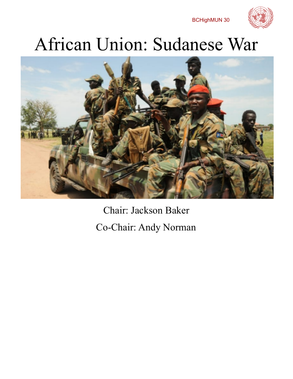BCHighMUN 30



# African Union: Sudanese War



Chair: Jackson Baker Co-Chair: Andy Norman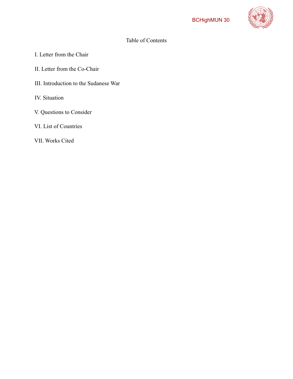

## Table of Contents

- I. Letter from the Chair
- II. Letter from the Co-Chair
- III. Introduction to the Sudanese War
- IV. Situation
- V. Questions to Consider
- VI. List of Countries
- VII. Works Cited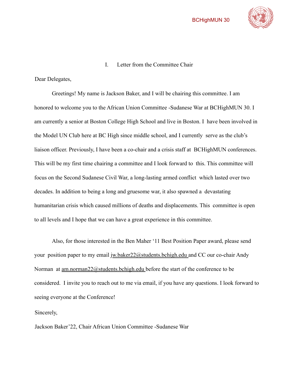



I. Letter from the Committee Chair

Dear Delegates,

Greetings! My name is Jackson Baker, and I will be chairing this committee. I am honored to welcome you to the African Union Committee -Sudanese War at BCHighMUN 30. I am currently a senior at Boston College High School and live in Boston. I have been involved in the Model UN Club here at BC High since middle school, and I currently serve as the club's liaison officer. Previously, I have been a co-chair and a crisis staff at BCHighMUN conferences. This will be my first time chairing a committee and I look forward to this. This committee will focus on the Second Sudanese Civil War, a long-lasting armed conflict which lasted over two decades. In addition to being a long and gruesome war, it also spawned a devastating humanitarian crisis which caused millions of deaths and displacements. This committee is open to all levels and I hope that we can have a great experience in this committee.

Also, for those interested in the Ben Maher '11 Best Position Paper award, please send your position paper to my email jw.baker22@students.bchigh.edu and CC our co-chair Andy Norman at <u>am.norman22@students.bchigh.edu</u> before the start of the conference to be considered. I invite you to reach out to me via email, if you have any questions. I look forward to seeing everyone at the Conference!

Sincerely,

Jackson Baker'22, Chair African Union Committee -Sudanese War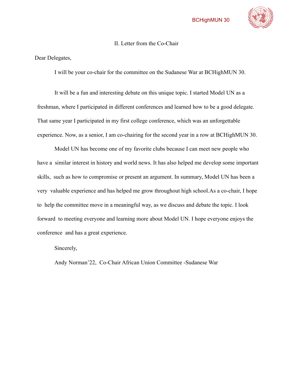

#### II. Letter from the Co-Chair

Dear Delegates,

I will be your co-chair for the committee on the Sudanese War at BCHighMUN 30.

It will be a fun and interesting debate on this unique topic. I started Model UN as a freshman, where I participated in different conferences and learned how to be a good delegate. That same year I participated in my first college conference, which was an unforgettable experience. Now, as a senior, I am co-chairing for the second year in a row at BCHighMUN 30.

Model UN has become one of my favorite clubs because I can meet new people who have a similar interest in history and world news. It has also helped me develop some important skills, such as how to compromise or present an argument. In summary, Model UN has been a very valuable experience and has helped me grow throughout high school.As a co-chair, I hope to help the committee move in a meaningful way, as we discuss and debate the topic. I look forward to meeting everyone and learning more about Model UN. I hope everyone enjoys the conference and has a great experience.

Sincerely,

Andy Norman'22, Co-Chair African Union Committee -Sudanese War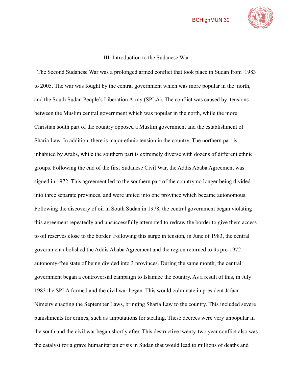

#### III. Introduction to the Sudanese War

The Second Sudanese War was a prolonged armed conflict that took place in Sudan from 1983 to 2005. The war was fought by the central government which was more popular in the north, and the South Sudan People's Liberation Army (SPLA). The conflict was caused by tensions between the Muslim central government which was popular in the north, while the more Christian south part of the country opposed a Muslim government and the establishment of Sharia Law. In addition, there is major ethnic tension in the country. The northern part is inhabited by Arabs, while the southern part is extremely diverse with dozens of different ethnic groups. Following the end of the first Sudanese Civil War, the Addis Ababa Agreement was signed in 1972. This agreement led to the southern part of the country no longer being divided into three separate provinces, and were united into one province which became autonomous. Following the discovery of oil in South Sudan in 1978, the central government began violating this agreement repeatedly and unsuccessfully attempted to redraw the border to give them access to oil reserves close to the border. Following this surge in tension, in June of 1983, the central government abolished the Addis Ababa Agreement and the region returned to its pre-1972 autonomy-free state of being divided into 3 provinces. During the same month, the central government began a controversial campaign to Islamize the country. As a result of this, in July 1983 the SPLA formed and the civil war began. This would culminate in president Jafaar Nimeiry enacting the September Laws, bringing Sharia Law to the country. This included severe punishments for crimes, such as amputations for stealing. These decrees were very unpopular in the south and the civil war began shortly after. This destructive twenty-two year conflict also was the catalyst for a grave humanitarian crisis in Sudan that would lead to millions of deaths and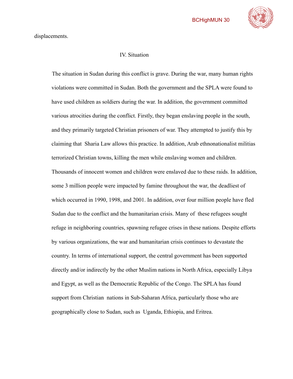

displacements.

#### IV. Situation

The situation in Sudan during this conflict is grave. During the war, many human rights violations were committed in Sudan. Both the government and the SPLA were found to have used children as soldiers during the war. In addition, the government committed various atrocities during the conflict. Firstly, they began enslaving people in the south, and they primarily targeted Christian prisoners of war. They attempted to justify this by claiming that Sharia Law allows this practice. In addition, Arab ethnonationalist militias terrorized Christian towns, killing the men while enslaving women and children. Thousands of innocent women and children were enslaved due to these raids. In addition, some 3 million people were impacted by famine throughout the war, the deadliest of which occurred in 1990, 1998, and 2001. In addition, over four million people have fled Sudan due to the conflict and the humanitarian crisis. Many of these refugees sought refuge in neighboring countries, spawning refugee crises in these nations. Despite efforts by various organizations, the war and humanitarian crisis continues to devastate the country. In terms of international support, the central government has been supported directly and/or indirectly by the other Muslim nations in North Africa, especially Libya and Egypt, as well as the Democratic Republic of the Congo. The SPLA has found support from Christian nations in Sub-Saharan Africa, particularly those who are geographically close to Sudan, such as Uganda, Ethiopia, and Eritrea.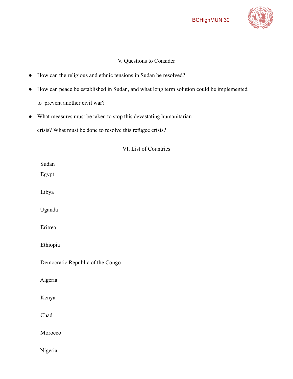

## V. Questions to Consider

- How can the religious and ethnic tensions in Sudan be resolved?
- How can peace be established in Sudan, and what long term solution could be implemented to prevent another civil war?
- What measures must be taken to stop this devastating humanitarian

crisis? What must be done to resolve this refugee crisis?

VI. List of Countries

| Sudan                            |
|----------------------------------|
| Egypt                            |
|                                  |
| Libya                            |
|                                  |
| Uganda                           |
|                                  |
| Eritrea                          |
|                                  |
| Ethiopia                         |
|                                  |
| Democratic Republic of the Congo |
|                                  |
| Algeria                          |
|                                  |
| Kenya                            |
|                                  |
| Chad                             |
|                                  |
| Morocco                          |
|                                  |
|                                  |
| Nigeria                          |